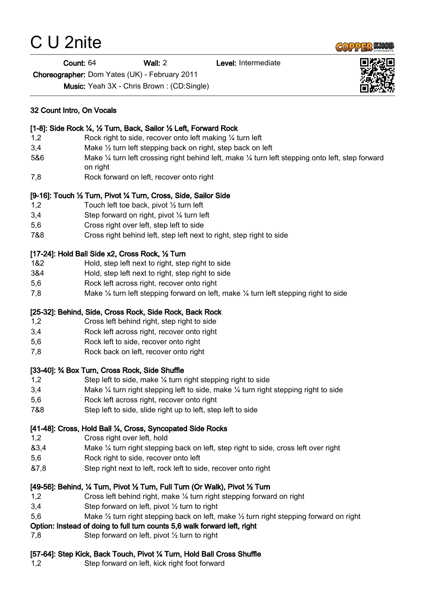# C U 2nite

#### Count: 64 Wall: 2 Level: Intermediate

Choreographer: Dom Yates (UK) - February 2011

Music: Yeah 3X - Chris Brown : (CD:Single)

#### [1-8]: Side Rock ¼, ½ Turn, Back, Sailor ½ Left, Forward Rock

- 1,2 Rock right to side, recover onto left making ¼ turn left
- 3,4 Make ½ turn left stepping back on right, step back on left
- 5&6 Make ¼ turn left crossing right behind left, make ¼ turn left stepping onto left, step forward on right
- 7,8 Rock forward on left, recover onto right

### [9-16]: Touch ½ Turn, Pivot ¼ Turn, Cross, Side, Sailor Side

- 1,2 Touch left toe back, pivot ½ turn left
- 3,4 Step forward on right, pivot ¼ turn left
- 5,6 Cross right over left, step left to side
- 7&8 Cross right behind left, step left next to right, step right to side

### [17-24]: Hold Ball Side x2, Cross Rock, ½ Turn

- 1&2 Hold, step left next to right, step right to side
- 3&4 Hold, step left next to right, step right to side
- 5,6 Rock left across right, recover onto right
- 7,8 Make ¼ turn left stepping forward on left, make ¼ turn left stepping right to side

### [25-32]: Behind, Side, Cross Rock, Side Rock, Back Rock

- 1,2 Cross left behind right, step right to side
- 3,4 Rock left across right, recover onto right
- 5,6 Rock left to side, recover onto right
- 7,8 Rock back on left, recover onto right

### [33-40]: ¾ Box Turn, Cross Rock, Side Shuffle

- 1,2 Step left to side, make ¼ turn right stepping right to side
- 3,4 Make ¼ turn right stepping left to side, make ¼ turn right stepping right to side
- 5,6 Rock left across right, recover onto right
- 7&8 Step left to side, slide right up to left, step left to side

### [41-48]: Cross, Hold Ball ¼, Cross, Syncopated Side Rocks

- 1,2 Cross right over left, hold
- &3,4 Make ¼ turn right stepping back on left, step right to side, cross left over right
- 5,6 Rock right to side, recover onto left
- &7,8 Step right next to left, rock left to side, recover onto right

### [49-56]: Behind, ¼ Turn, Pivot ½ Turn, Full Turn (Or Walk), Pivot ½ Turn

- 1,2 Cross left behind right, make ¼ turn right stepping forward on right
- 3,4 Step forward on left, pivot ½ turn to right
- 5,6 Make ½ turn right stepping back on left, make ½ turn right stepping forward on right

### Option: Instead of doing to full turn counts 5,6 walk forward left, right

7,8 Step forward on left, pivot ½ turn to right

## [57-64]: Step Kick, Back Touch, Pivot ¼ Turn, Hold Ball Cross Shuffle

1,2 Step forward on left, kick right foot forward